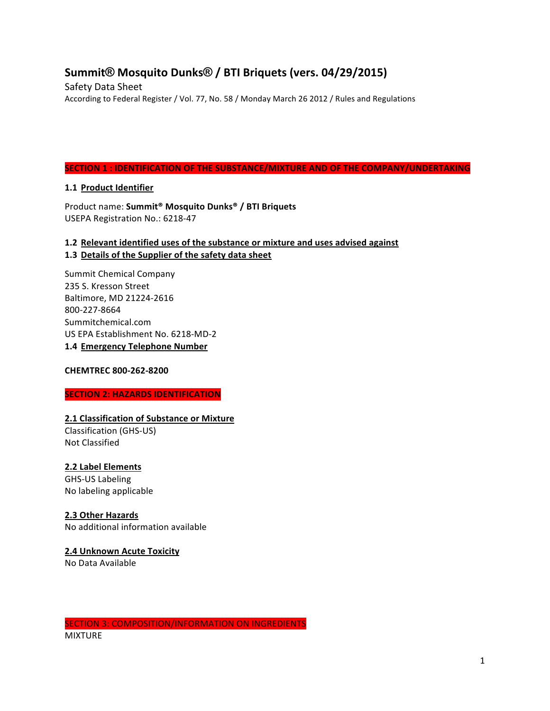# **Summit® Mosquito Dunks® / BTI Briquets (vers. 04/29/2015)**

Safety Data Sheet According to Federal Register / Vol. 77, No. 58 / Monday March 26 2012 / Rules and Regulations

## **SECTION 1 : IDENTIFICATION OF THE SUBSTANCE/MIXTURE AND OF THE COMPANY/UNDERTAKING**

## **1.1 Product Identifier**

Product name: Summit<sup>®</sup> Mosquito Dunks<sup>®</sup> / BTI Briquets USEPA Registration No.: 6218-47

## 1.2 Relevant identified uses of the substance or mixture and uses advised against 1.3 Details of the Supplier of the safety data sheet

Summit Chemical Company 235 S. Kresson Street Baltimore, MD 21224-2616 800-227-8664 Summitchemical.com US EPA Establishment No. 6218-MD-2 **1.4 Emergency Telephone Number**

## **CHEMTREC 800-262-8200**

## **SECTION 2: HAZARDS IDENTIFICATION**

## **2.1 Classification of Substance or Mixture**

Classification (GHS-US) Not Classified

## **2.2 Label Elements**

GHS-US Labeling No labeling applicable

## **2.3 Other Hazards**

No additional information available

## **2.4 Unknown Acute Toxicity**

No Data Available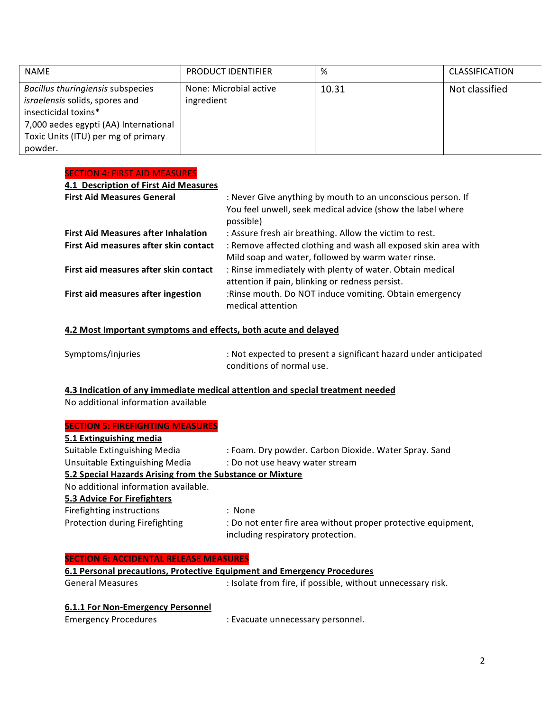| <b>NAME</b>                                                                                                                                                                            | <b>PRODUCT IDENTIFIER</b>            | ℅     | CLASSIFICATION |
|----------------------------------------------------------------------------------------------------------------------------------------------------------------------------------------|--------------------------------------|-------|----------------|
| Bacillus thuringiensis subspecies<br>israelensis solids, spores and<br>insecticidal toxins*<br>7,000 aedes egypti (AA) International<br>Toxic Units (ITU) per mg of primary<br>powder. | None: Microbial active<br>ingredient | 10.31 | Not classified |

### **SECTION 4: FIRST AID MEASURES**

| 4.1 Description of First Aid Measures                                               |                                                                                                                                                                                 |
|-------------------------------------------------------------------------------------|---------------------------------------------------------------------------------------------------------------------------------------------------------------------------------|
| <b>First Aid Measures General</b>                                                   | : Never Give anything by mouth to an unconscious person. If<br>You feel unwell, seek medical advice (show the label where<br>possible)                                          |
| <b>First Aid Measures after Inhalation</b><br>First Aid measures after skin contact | : Assure fresh air breathing. Allow the victim to rest.<br>: Remove affected clothing and wash all exposed skin area with<br>Mild soap and water, followed by warm water rinse. |
| First aid measures after skin contact                                               | : Rinse immediately with plenty of water. Obtain medical<br>attention if pain, blinking or redness persist.                                                                     |
| First aid measures after ingestion                                                  | :Rinse mouth. Do NOT induce vomiting. Obtain emergency<br>medical attention                                                                                                     |

## **4.2 Most Important symptoms and effects, both acute and delayed**

| Symptoms/injuries | : Not expected to present a significant hazard under anticipated |
|-------------------|------------------------------------------------------------------|
|                   | conditions of normal use.                                        |

### **4.3 Indication of any immediate medical attention and special treatment needed**

No additional information available

## **SECTION 5: FIREFIGHTING MEASURES**

| 5.1 Extinguishing media                                   |                                                                                                    |
|-----------------------------------------------------------|----------------------------------------------------------------------------------------------------|
| Suitable Extinguishing Media                              | : Foam. Dry powder. Carbon Dioxide. Water Spray. Sand                                              |
| Unsuitable Extinguishing Media                            | : Do not use heavy water stream                                                                    |
| 5.2 Special Hazards Arising from the Substance or Mixture |                                                                                                    |
| No additional information available.                      |                                                                                                    |
| 5.3 Advice For Firefighters                               |                                                                                                    |
| Firefighting instructions                                 | : None                                                                                             |
| Protection during Firefighting                            | : Do not enter fire area without proper protective equipment,<br>including respiratory protection. |

## **SECTION 6: ACCIDENTAL RELEASE MEASURES**

| 6.1 Personal precautions, Protective Equipment and Emergency Procedures                |                                   |  |  |
|----------------------------------------------------------------------------------------|-----------------------------------|--|--|
| : Isolate from fire, if possible, without unnecessary risk.<br><b>General Measures</b> |                                   |  |  |
| 6.1.1 For Non-Emergency Personnel                                                      |                                   |  |  |
| <b>Emergency Procedures</b>                                                            | : Evacuate unnecessary personnel. |  |  |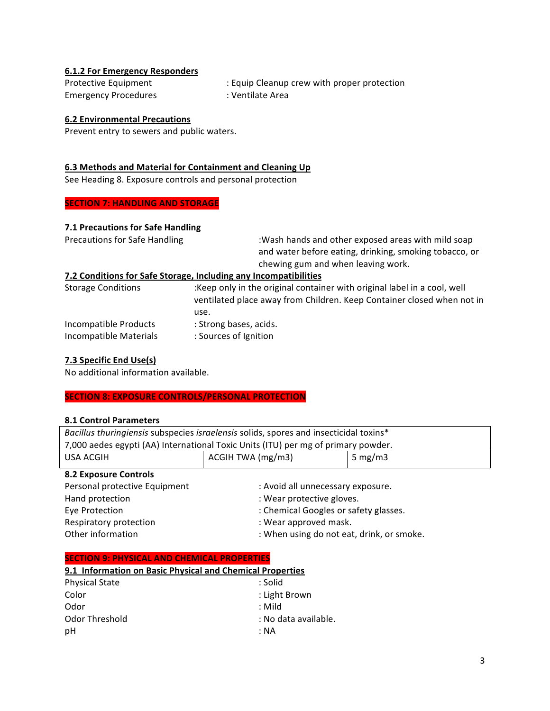## **6.1.2 For Emergency Responders**

Emergency Procedures : Ventilate Area

Protective Equipment : Equip Cleanup crew with proper protection

## **6.2 Environmental Precautions**

Prevent entry to sewers and public waters.

### **6.3 Methods and Material for Containment and Cleaning Up**

See Heading 8. Exposure controls and personal protection

## **SECTION 7: HANDLING AND STORAGE**

## **7.1 Precautions for Safe Handling**

| <b>Precautions for Safe Handling</b>            | :Wash hands and other exposed areas with mild soap<br>and water before eating, drinking, smoking tobacco, or<br>chewing gum and when leaving work.         |  |
|-------------------------------------------------|------------------------------------------------------------------------------------------------------------------------------------------------------------|--|
|                                                 | 7.2 Conditions for Safe Storage, Including any Incompatibilities                                                                                           |  |
| <b>Storage Conditions</b>                       | :Keep only in the original container with original label in a cool, well<br>ventilated place away from Children. Keep Container closed when not in<br>use. |  |
| Incompatible Products<br>Incompatible Materials | : Strong bases, acids.<br>: Sources of Ignition                                                                                                            |  |

### **7.3 Specific End Use(s)**

No additional information available.

## **SECTION 8: EXPOSURE CONTROLS/PERSONAL PROTECTION**

#### **8.1 Control Parameters**

| Bacillus thuringiensis subspecies israelensis solids, spores and insecticidal toxins* |                                           |  |  |
|---------------------------------------------------------------------------------------|-------------------------------------------|--|--|
| 7,000 aedes egypti (AA) International Toxic Units (ITU) per mg of primary powder.     |                                           |  |  |
| <b>USA ACGIH</b>                                                                      | ACGIH TWA (mg/m3)<br>5 mg/m $3$           |  |  |
| <b>8.2 Exposure Controls</b>                                                          |                                           |  |  |
| Personal protective Equipment                                                         | : Avoid all unnecessary exposure.         |  |  |
| Hand protection                                                                       | : Wear protective gloves.                 |  |  |
| Eye Protection                                                                        | : Chemical Googles or safety glasses.     |  |  |
| Respiratory protection                                                                | : Wear approved mask.                     |  |  |
| Other information                                                                     | : When using do not eat, drink, or smoke. |  |  |
|                                                                                       |                                           |  |  |
| <b>SECTION 9: PHYSICAL AND CHEMICAL PROPERTIES</b>                                    |                                           |  |  |

#### **SECTION 9: PHYSICAL AND CHEMICAL PROPERTIES**

| 9.1 Information on Basic Physical and Chemical Properties |                      |  |  |
|-----------------------------------------------------------|----------------------|--|--|
| <b>Physical State</b>                                     | : Solid              |  |  |
| Color                                                     | : Light Brown        |  |  |
| Odor                                                      | : Mild               |  |  |
| Odor Threshold                                            | : No data available. |  |  |
| рH                                                        | ∶NA                  |  |  |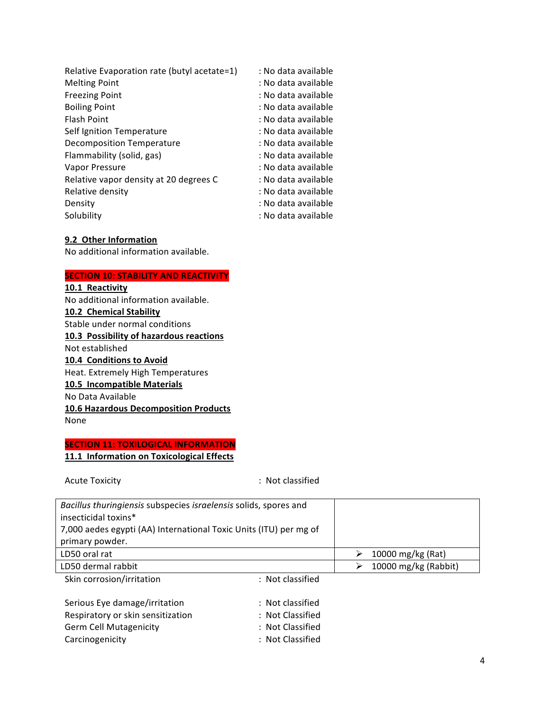| Relative Evaporation rate (butyl acetate=1) | : No data available |
|---------------------------------------------|---------------------|
| <b>Melting Point</b>                        | : No data available |
| <b>Freezing Point</b>                       | : No data available |
| <b>Boiling Point</b>                        | : No data available |
| Flash Point                                 | : No data available |
| Self Ignition Temperature                   | : No data available |
| <b>Decomposition Temperature</b>            | : No data available |
| Flammability (solid, gas)                   | : No data available |
| Vapor Pressure                              | : No data available |
| Relative vapor density at 20 degrees C      | : No data available |
| Relative density                            | : No data available |
| Density                                     | : No data available |
| Solubility                                  | : No data available |
|                                             |                     |

### **9.2 Other Information**

No additional information available.

### **SECTION 10: STABILITY AND REACTIVITY**

**10.1 Reactivity** No additional information available. **10.2 Chemical Stability** Stable under normal conditions **10.3 Possibility of hazardous reactions** Not established **10.4 Conditions to Avoid** Heat. Extremely High Temperatures **10.5 Incompatible Materials** No Data Available **10.6 Hazardous Decomposition Products** None

## **SECTION 11: TOXILOGICAL INFORMATION 11.1 Information on Toxicological Effects**

Acute Toxicity **and South Contract Contract Contract Contract Contract Contract Contract Contract Contract Contract Contract Contract Contract Contract Contract Contract Contract Contract Contract Contract Contract Contrac** 

Carcinogenicity **Carcinogenicity** : Not Classified

| Bacillus thuringiensis subspecies israelensis solids, spores and  |                  |   |                      |
|-------------------------------------------------------------------|------------------|---|----------------------|
| insecticidal toxins*                                              |                  |   |                      |
| 7,000 aedes egypti (AA) International Toxic Units (ITU) per mg of |                  |   |                      |
| primary powder.                                                   |                  |   |                      |
| LD50 oral rat                                                     |                  | ⋗ | 10000 mg/kg (Rat)    |
| LD50 dermal rabbit                                                |                  | ➤ | 10000 mg/kg (Rabbit) |
| Skin corrosion/irritation                                         | : Not classified |   |                      |
|                                                                   |                  |   |                      |
| Serious Eye damage/irritation                                     | : Not classified |   |                      |
| Respiratory or skin sensitization                                 | : Not Classified |   |                      |
| <b>Germ Cell Mutagenicity</b>                                     | : Not Classified |   |                      |

4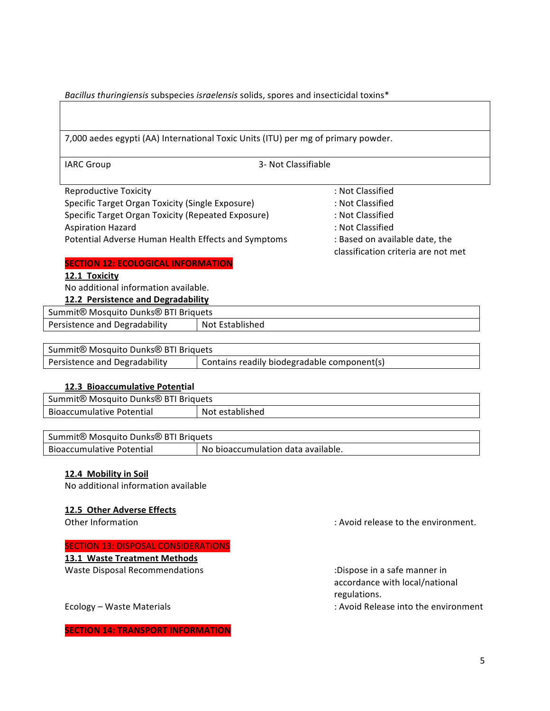Bacillus thuringiensis subspecies israelensis solids, spores and insecticidal toxins<sup>\*</sup>

|                                                              | 7,000 aedes egypti (AA) International Toxic Units (ITU) per mg of primary powder. |                                                                       |
|--------------------------------------------------------------|-----------------------------------------------------------------------------------|-----------------------------------------------------------------------|
| <b>IARC Group</b>                                            | 3- Not Classifiable                                                               |                                                                       |
| <b>Reproductive Toxicity</b>                                 |                                                                                   | : Not Classified                                                      |
| Specific Target Organ Toxicity (Single Exposure)             |                                                                                   | : Not Classified                                                      |
| Specific Target Organ Toxicity (Repeated Exposure)           |                                                                                   | : Not Classified                                                      |
| <b>Aspiration Hazard</b>                                     |                                                                                   | : Not Classified                                                      |
| Potential Adverse Human Health Effects and Symptoms          |                                                                                   | : Based on available date, the<br>classification criteria are not met |
| <b>SECTION 12: ECOLOGICAL INFORMATION</b>                    |                                                                                   |                                                                       |
| 12.1 Toxicity                                                |                                                                                   |                                                                       |
| No additional information available.                         |                                                                                   |                                                                       |
| <b>12.2 Persistence and Degradability</b>                    |                                                                                   |                                                                       |
| Summit® Mosquito Dunks® BTI Briquets                         |                                                                                   |                                                                       |
| Persistence and Degradability                                | Not Established                                                                   |                                                                       |
|                                                              |                                                                                   |                                                                       |
| Summit <sup>®</sup> Mosquito Dunks <sup>®</sup> BTI Briquets |                                                                                   |                                                                       |
| Persistence and Degradability                                | Contains readily biodegradable component(s)                                       |                                                                       |

## **12.3 Bioaccumulative Potential**

| Summit® Mosquito Dunks® BTI Briquets |                 |
|--------------------------------------|-----------------|
| <b>Bioaccumulative Potential</b>     | Not established |

| Summit® Mosquito Dunks® BTI Briquets |                                    |
|--------------------------------------|------------------------------------|
| <b>Bioaccumulative Potential</b>     | No bioaccumulation data available. |

## **12.4 Mobility in Soil**

No additional information available

## **12.5 Other Adverse Effects**

### **SECTION 13: DISPOSAL CONSIDERATIONS**

**13.1 Waste Treatment Methods** 

Waste Disposal Recommendations in the commendations in the control of the control of the control of the control of the control of the control of the control of the control of the control of the control of the control of th

Other Information **Contract Contract Contract Contract Contract Contract Contract Contract Contract Contract Contract Contract Contract Contract Contract Contract Contract Contract Contract Contract Contract Contract Contr** 

accordance with local/national regulations.

Ecology – Waste Materials **interpretent in the environment** : Avoid Release into the environment

**SECTION 14: TRANSPORT INFORMATION**